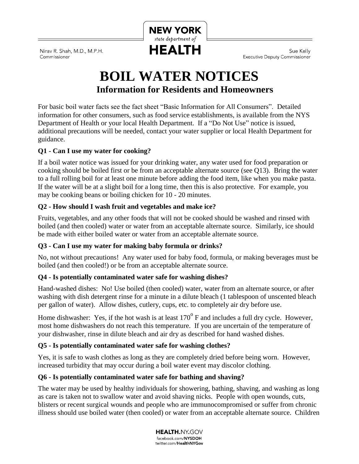

Nirav R. Shah, M.D., M.P.H. Commissioner

Sue Kelly **Executive Deputy Commissioner** 

# **BOIL WATER NOTICES Information for Residents and Homeowners**

For basic boil water facts see the fact sheet "Basic Information for All Consumers". Detailed information for other consumers, such as food service establishments, is available from the NYS Department of Health or your local Health Department. If a "Do Not Use" notice is issued, additional precautions will be needed, contact your water supplier or local Health Department for guidance.

# **Q1 - Can I use my water for cooking?**

If a boil water notice was issued for your drinking water, any water used for food preparation or cooking should be boiled first or be from an acceptable alternate source (see Q13). Bring the water to a full rolling boil for at least one minute before adding the food item, like when you make pasta. If the water will be at a slight boil for a long time, then this is also protective. For example, you may be cooking beans or boiling chicken for 10 - 20 minutes.

# **Q2 - How should I wash fruit and vegetables and make ice?**

Fruits, vegetables, and any other foods that will not be cooked should be washed and rinsed with boiled (and then cooled) water or water from an acceptable alternate source. Similarly, ice should be made with either boiled water or water from an acceptable alternate source.

# **Q3 - Can I use my water for making baby formula or drinks?**

No, not without precautions! Any water used for baby food, formula, or making beverages must be boiled (and then cooled!) or be from an acceptable alternate source.

# **Q4 - Is potentially contaminated water safe for washing dishes?**

Hand-washed dishes: No! Use boiled (then cooled) water, water from an alternate source, or after washing with dish detergent rinse for a minute in a dilute bleach (1 tablespoon of unscented bleach per gallon of water). Allow dishes, cutlery, cups, etc. to completely air dry before use.

Home dishwasher: Yes, if the hot wash is at least  $170^{\circ}$  F and includes a full dry cycle. However, most home dishwashers do not reach this temperature. If you are uncertain of the temperature of your dishwasher, rinse in dilute bleach and air dry as described for hand washed dishes.

# **Q5 - Is potentially contaminated water safe for washing clothes?**

Yes, it is safe to wash clothes as long as they are completely dried before being worn. However, increased turbidity that may occur during a boil water event may discolor clothing.

# **Q6 - Is potentially contaminated water safe for bathing and shaving?**

The water may be used by healthy individuals for showering, bathing, shaving, and washing as long as care is taken not to swallow water and avoid shaving nicks. People with open wounds, cuts, blisters or recent surgical wounds and people who are immunocompromised or suffer from chronic illness should use boiled water (then cooled) or water from an acceptable alternate source. Children